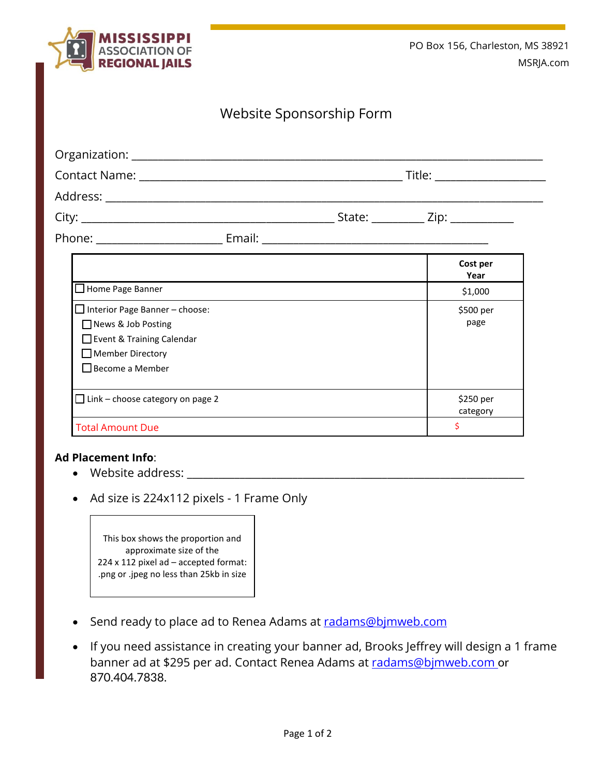

## Website Sponsorship Form

|                                                                                                                 |        | Title: ________________________ |  |
|-----------------------------------------------------------------------------------------------------------------|--------|---------------------------------|--|
|                                                                                                                 |        |                                 |  |
|                                                                                                                 |        | State: $\angle$ Zip: $\angle$   |  |
| Phone: when the contract of the contract of the contract of the contract of the contract of the contract of the | Email: |                                 |  |

|                                                                                                                                 | Cost per<br>Year      |
|---------------------------------------------------------------------------------------------------------------------------------|-----------------------|
| $\Box$ Home Page Banner                                                                                                         | \$1,000               |
| Interior Page Banner - choose:<br>News & Job Posting<br>Event & Training Calendar<br>$\Box$ Member Directory<br>Become a Member | \$500 per<br>page     |
| $\Box$ Link – choose category on page 2                                                                                         | \$250 per<br>category |
| <b>Total Amount Due</b>                                                                                                         | Ś                     |

## **Ad Placement Info**:

- Website address:
- Ad size is 224x112 pixels 1 Frame Only

This box shows the proportion and approximate size of the 224 x 112 pixel ad – accepted format: .png or .jpeg no less than 25kb in size

- Send ready to place ad to Renea Adams at [radams@bjmweb.com](mailto:radams@bjmweb.com)
- If you need assistance in creating your banner ad, Brooks Jeffrey will design a 1 frame banner ad at \$295 per ad. Contact Renea Adams at [radams@bjmweb.com](mailto:radams@bjmweb.com) or 870.404.7838.